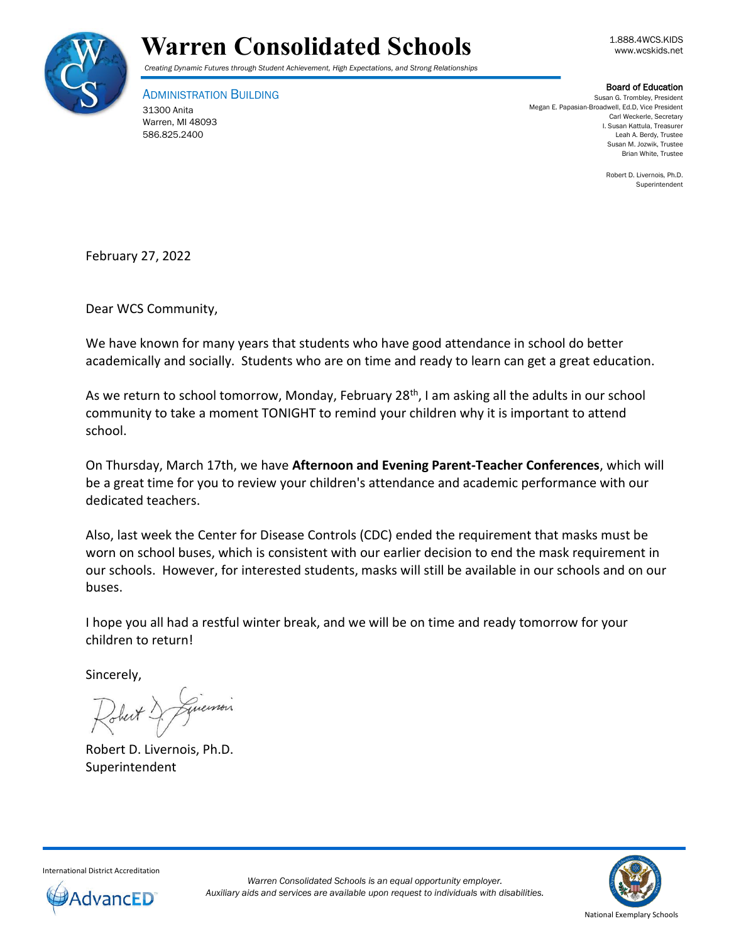



*Creating Dynamic Futures through Student Achievement, High Expectations, and Strong Relationships*

ADMINISTRATION BUILDING 31300 Anita Warren, MI 48093 586.825.2400

Board of Education

Susan G. Trombley, President Megan E. Papasian-Broadwell, Ed.D, Vice President Carl Weckerle, Secretary I. Susan Kattula, Treasurer Leah A. Berdy, Trustee Susan M. Jozwik, Trustee Brian White, Trustee

> Robert D. Livernois, Ph.D. Superintendent

February 27, 2022

Dear WCS Community,

We have known for many years that students who have good attendance in school do better academically and socially. Students who are on time and ready to learn can get a great education.

As we return to school tomorrow, Monday, February 28<sup>th</sup>, I am asking all the adults in our school community to take a moment TONIGHT to remind your children why it is important to attend school.

On Thursday, March 17th, we have **Afternoon and Evening Parent-Teacher Conferences**, which will be a great time for you to review your children's attendance and academic performance with our dedicated teachers.

Also, last week the Center for Disease Controls (CDC) ended the requirement that masks must be worn on school buses, which is consistent with our earlier decision to end the mask requirement in our schools. However, for interested students, masks will still be available in our schools and on our buses.

I hope you all had a restful winter break, and we will be on time and ready tomorrow for your children to return!

Sincerely,

memois

Robert D. Livernois, Ph.D. Superintendent



International District Accreditation